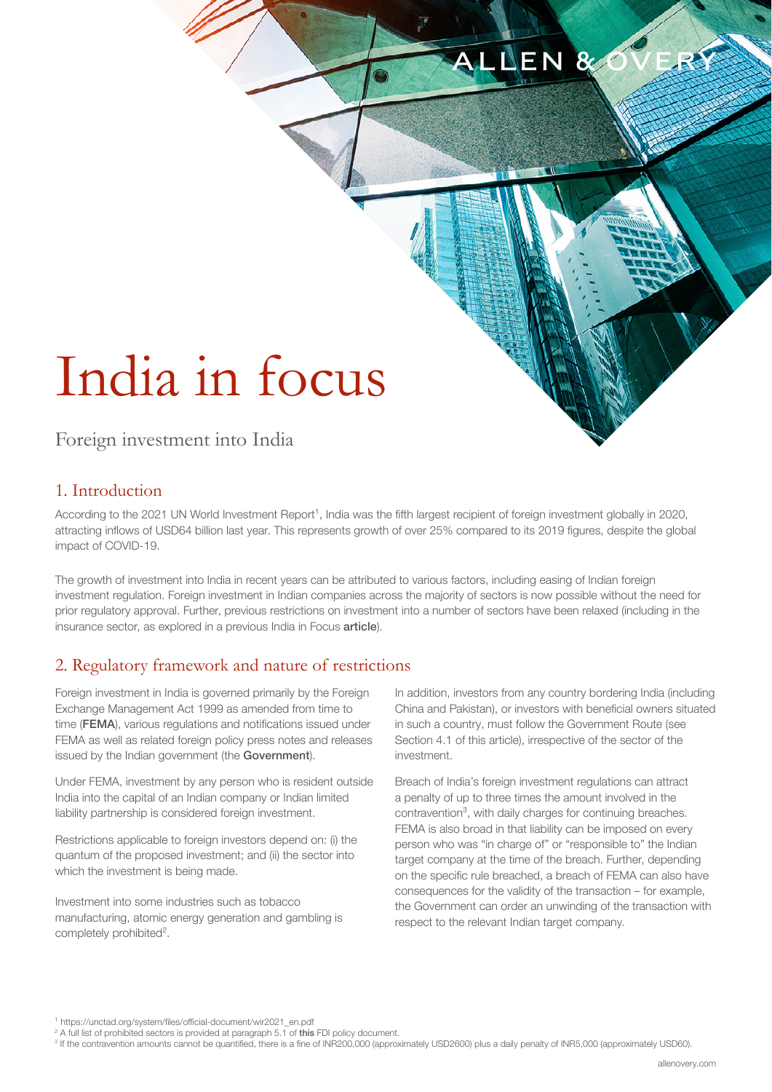#### LNEN 8

# India in focus

## Foreign investment into India

## 1. Introduction

According to the 2021 UN World Investment Report<sup>1</sup>, India was the fifth largest recipient of foreign investment globally in 2020, attracting inflows of USD64 billion last year. This represents growth of over 25% compared to its 2019 figures, despite the global impact of COVID-19.

The growth of investment into India in recent years can be attributed to various factors, including easing of Indian foreign investment regulation. Foreign investment in Indian companies across the majority of sectors is now possible without the need for prior regulatory approval. Further, previous restrictions on investment into a number of sectors have been relaxed (including in the insurance sector, as explored in a previous India in Focus [article](https://www.allenovery.com/en-gb/global/news-and-insights/publications/india-in-focus)).

### 2. Regulatory framework and nature of restrictions

Foreign investment in India is governed primarily by the Foreign Exchange Management Act 1999 as amended from time to time (FEMA), various regulations and notifications issued under FEMA as well as related foreign policy press notes and releases issued by the Indian government (the Government).

Under FEMA, investment by any person who is resident outside India into the capital of an Indian company or Indian limited liability partnership is considered foreign investment.

Restrictions applicable to foreign investors depend on: (i) the quantum of the proposed investment; and (ii) the sector into which the investment is being made.

Investment into some industries such as tobacco manufacturing, atomic energy generation and gambling is completely prohibited².

In addition, investors from any country bordering India (including China and Pakistan), or investors with beneficial owners situated in such a country, must follow the Government Route (see Section 4.1 of this article), irrespective of the sector of the investment.

Breach of India's foreign investment regulations can attract a penalty of up to three times the amount involved in the contravention<sup>3</sup>, with daily charges for continuing breaches. FEMA is also broad in that liability can be imposed on every person who was "in charge of" or "responsible to" the Indian target company at the time of the breach. Further, depending on the specific rule breached, a breach of FEMA can also have consequences for the validity of the transaction – for example, the Government can order an unwinding of the transaction with respect to the relevant Indian target company.

¹ [https://unctad.org/system/files/official-document/wir2021\\_en.pdf](https://unctad.org/system/files/official-document/wir2021_en.pdf) 

<sup>&</sup>lt;sup>2</sup> A full list of prohibited sectors is provided at paragraph 5.1 of [this](https://static.investindia.gov.in/s3fs-public/2020-09/FDI%20Policy%202020%20revised_18%20Sept%202020.pdf) FDI policy document.

<sup>&</sup>lt;sup>3</sup> If the contravention amounts cannot be quantified, there is a fine of INR200,000 (approximately USD2600) plus a daily penalty of INR5,000 (approximately USD60).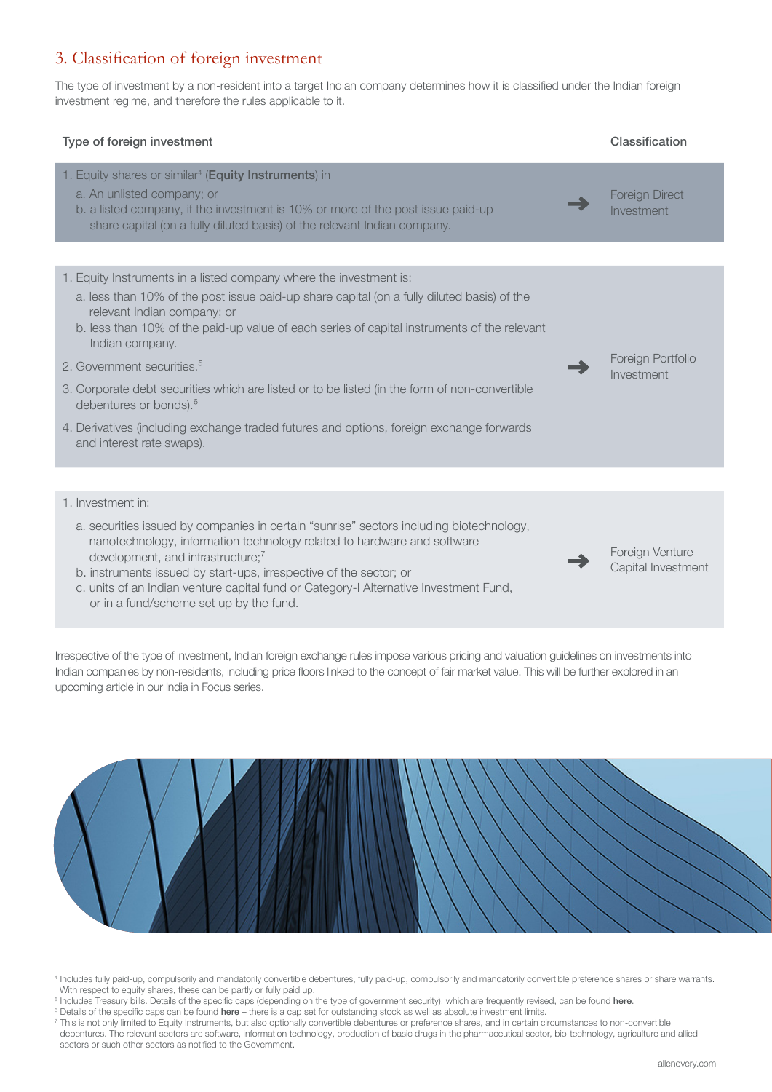## 3. Classification of foreign investment

The type of investment by a non-resident into a target Indian company determines how it is classified under the Indian foreign investment regime, and therefore the rules applicable to it.



Irrespective of the type of investment, Indian foreign exchange rules impose various pricing and valuation guidelines on investments into Indian companies by non-residents, including price floors linked to the concept of fair market value. This will be further explored in an upcoming article in our India in Focus series.



<sup>4</sup> Includes fully paid-up, compulsorily and mandatorily convertible debentures, fully paid-up, compulsorily and mandatorily convertible preference shares or share warrants. With respect to equity shares, these can be partly or fully paid up.

- <sup>5</sup> Includes Treasury bills. Details of the specific caps (depending on the type of government security), which are frequently revised, can be found [here](https://www.rbi.org.in/Scripts/NotificationUser.aspx?Id=12049&Mode=0).
- <sup>6</sup> Details of the specific caps can be found [here](https://www.rbi.org.in/Scripts/NotificationUser.aspx?Id=12049&Mode=0) there is a cap set for outstanding stock as well as absolute investment limits.

<sup>7</sup> This is not only limited to Equity Instruments, but also optionally convertible debentures or preference shares, and in certain circumstances to non-convertible debentures. The relevant sectors are software, information technology, production of basic drugs in the pharmaceutical sector, bio-technology, agriculture and allied sectors or such other sectors as notified to the Government.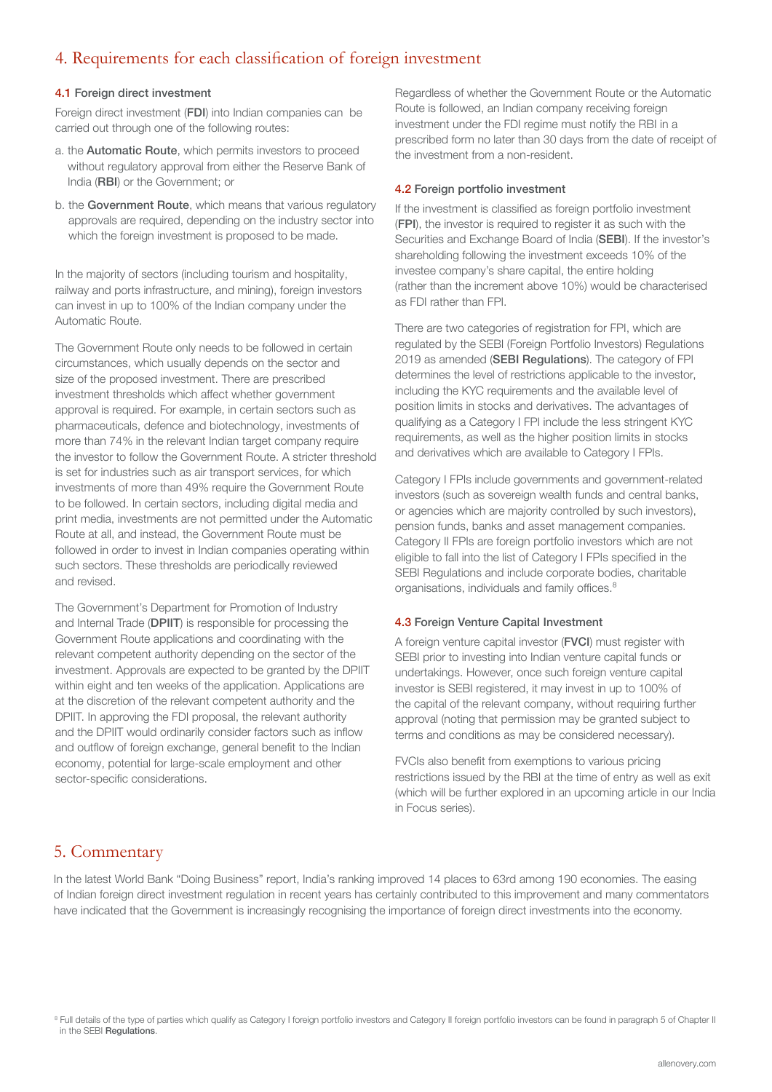### 4. Requirements for each classification of foreign investment

#### 4.1 Foreign direct investment

Foreign direct investment (FDI) into Indian companies can be carried out through one of the following routes:

- a. the Automatic Route, which permits investors to proceed without regulatory approval from either the Reserve Bank of India (RBI) or the Government; or
- b. the Government Route, which means that various regulatory approvals are required, depending on the industry sector into which the foreign investment is proposed to be made.

In the majority of sectors (including tourism and hospitality, railway and ports infrastructure, and mining), foreign investors can invest in up to 100% of the Indian company under the Automatic Route.

The Government Route only needs to be followed in certain circumstances, which usually depends on the sector and size of the proposed investment. There are prescribed investment thresholds which affect whether government approval is required. For example, in certain sectors such as pharmaceuticals, defence and biotechnology, investments of more than 74% in the relevant Indian target company require the investor to follow the Government Route. A stricter threshold is set for industries such as air transport services, for which investments of more than 49% require the Government Route to be followed. In certain sectors, including digital media and print media, investments are not permitted under the Automatic Route at all, and instead, the Government Route must be followed in order to invest in Indian companies operating within such sectors. These thresholds are periodically reviewed and revised.

The Government's Department for Promotion of Industry and Internal Trade (DPIIT) is responsible for processing the Government Route applications and coordinating with the relevant competent authority depending on the sector of the investment. Approvals are expected to be granted by the DPIIT within eight and ten weeks of the application. Applications are at the discretion of the relevant competent authority and the DPIIT. In approving the FDI proposal, the relevant authority and the DPIIT would ordinarily consider factors such as inflow and outflow of foreign exchange, general benefit to the Indian economy, potential for large-scale employment and other sector-specific considerations.

Regardless of whether the Government Route or the Automatic Route is followed, an Indian company receiving foreign investment under the FDI regime must notify the RBI in a prescribed form no later than 30 days from the date of receipt of the investment from a non-resident.

#### 4.2 Foreign portfolio investment

If the investment is classified as foreign portfolio investment (FPI), the investor is required to register it as such with the Securities and Exchange Board of India (SEBI). If the investor's shareholding following the investment exceeds 10% of the investee company's share capital, the entire holding (rather than the increment above 10%) would be characterised as FDI rather than FPI.

There are two categories of registration for FPI, which are regulated by the SEBI (Foreign Portfolio Investors) Regulations 2019 as amended (SEBI Regulations). The category of FPI determines the level of restrictions applicable to the investor, including the KYC requirements and the available level of position limits in stocks and derivatives. The advantages of qualifying as a Category I FPI include the less stringent KYC requirements, as well as the higher position limits in stocks and derivatives which are available to Category I FPIs.

Category I FPIs include governments and government-related investors (such as sovereign wealth funds and central banks, or agencies which are majority controlled by such investors), pension funds, banks and asset management companies. Category II FPIs are foreign portfolio investors which are not eligible to fall into the list of Category I FPIs specified in the SEBI Regulations and include corporate bodies, charitable organisations, individuals and family offices.<sup>8</sup>

#### 4.3 Foreign Venture Capital Investment

A foreign venture capital investor (FVCI) must register with SEBI prior to investing into Indian venture capital funds or undertakings. However, once such foreign venture capital investor is SEBI registered, it may invest in up to 100% of the capital of the relevant company, without requiring further approval (noting that permission may be granted subject to terms and conditions as may be considered necessary).

FVCIs also benefit from exemptions to various pricing restrictions issued by the RBI at the time of entry as well as exit (which will be further explored in an upcoming article in our India in Focus series).

#### 5. Commentary

In the latest World Bank "Doing Business" report, India's ranking improved 14 places to 63rd among 190 economies. The easing of Indian foreign direct investment regulation in recent years has certainly contributed to this improvement and many commentators have indicated that the Government is increasingly recognising the importance of foreign direct investments into the economy.

<sup>&</sup>lt;sup>8</sup> Full details of the type of parties which qualify as Category I foreign portfolio investors and Category II foreign portfolio investors can be found in paragraph 5 of Chapter II in the SEBI [Regulations](https://www.sebi.gov.in/legal/regulations/dec-2019/securities-and-exchange-board-of-india-foreign-portfolio-investors-regulations-2019-last-amended-on-december-19-2019-_44436.html).